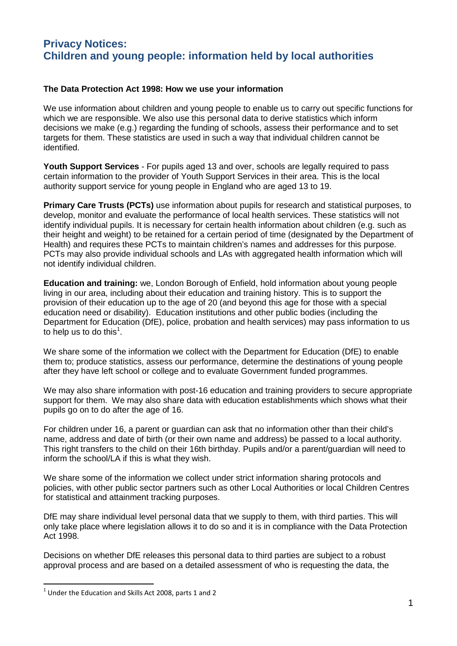## **Privacy Notices: Children and young people: information held by local authorities**

## **The Data Protection Act 1998: How we use your information**

We use information about children and young people to enable us to carry out specific functions for which we are responsible. We also use this personal data to derive statistics which inform decisions we make (e.g.) regarding the funding of schools, assess their performance and to set targets for them. These statistics are used in such a way that individual children cannot be identified.

**Youth Support Services** - For pupils aged 13 and over, schools are legally required to pass certain information to the provider of Youth Support Services in their area. This is the local authority support service for young people in England who are aged 13 to 19.

**Primary Care Trusts (PCTs)** use information about pupils for research and statistical purposes, to develop, monitor and evaluate the performance of local health services. These statistics will not identify individual pupils. It is necessary for certain health information about children (e.g. such as their height and weight) to be retained for a certain period of time (designated by the Department of Health) and requires these PCTs to maintain children's names and addresses for this purpose. PCTs may also provide individual schools and LAs with aggregated health information which will not identify individual children.

**Education and training:** we, London Borough of Enfield, hold information about young people living in our area, including about their education and training history. This is to support the provision of their education up to the age of 20 (and beyond this age for those with a special education need or disability). Education institutions and other public bodies (including the Department for Education (DfE), police, probation and health services) may pass information to us to help us to do this<sup>[1](#page-0-0)</sup>.

We share some of the information we collect with the Department for Education (DfE) to enable them to; produce statistics, assess our performance, determine the destinations of young people after they have left school or college and to evaluate Government funded programmes.

We may also share information with post-16 education and training providers to secure appropriate support for them. We may also share data with education establishments which shows what their pupils go on to do after the age of 16.

For children under 16, a parent or guardian can ask that no information other than their child's name, address and date of birth (or their own name and address) be passed to a local authority. This right transfers to the child on their 16th birthday. Pupils and/or a parent/guardian will need to inform the school/LA if this is what they wish.

We share some of the information we collect under strict information sharing protocols and policies, with other public sector partners such as other Local Authorities or local Children Centres for statistical and attainment tracking purposes.

DfE may share individual level personal data that we supply to them, with third parties. This will only take place where legislation allows it to do so and it is in compliance with the Data Protection Act 1998.

Decisions on whether DfE releases this personal data to third parties are subject to a robust approval process and are based on a detailed assessment of who is requesting the data, the

<span id="page-0-0"></span> $1$  Under the Education and Skills Act 2008, parts 1 and 2